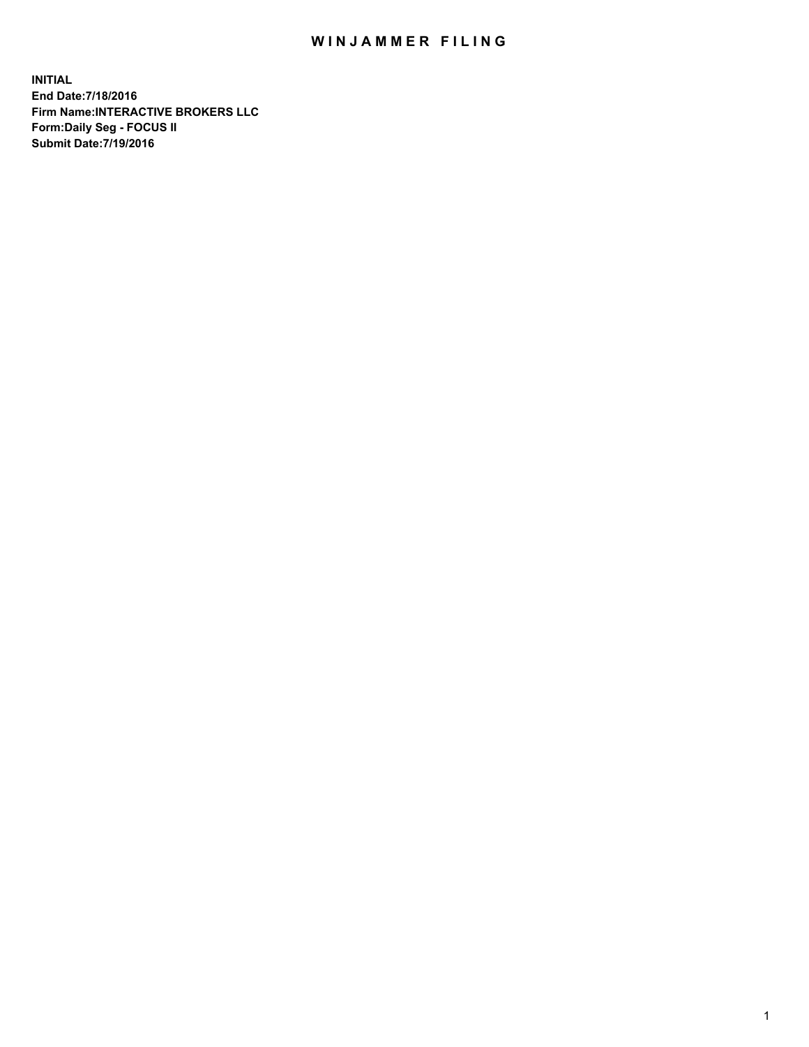## WIN JAMMER FILING

**INITIAL End Date:7/18/2016 Firm Name:INTERACTIVE BROKERS LLC Form:Daily Seg - FOCUS II Submit Date:7/19/2016**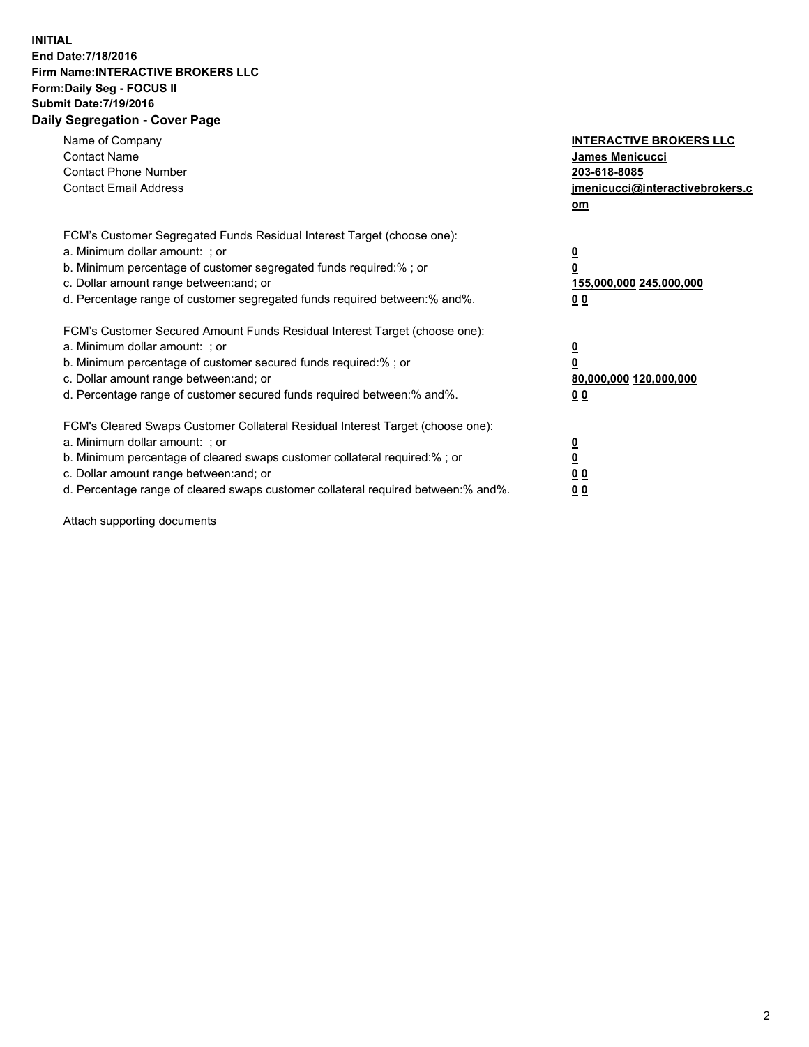## **INITIAL End Date:7/18/2016 Firm Name:INTERACTIVE BROKERS LLC Form:Daily Seg - FOCUS II Submit Date:7/19/2016 Daily Segregation - Cover Page**

| Name of Company<br><b>Contact Name</b><br><b>Contact Phone Number</b><br><b>Contact Email Address</b>                                                                                                                                                                                                                          | <b>INTERACTIVE BROKERS LLC</b><br>James Menicucci<br>203-618-8085<br>jmenicucci@interactivebrokers.c<br>om |
|--------------------------------------------------------------------------------------------------------------------------------------------------------------------------------------------------------------------------------------------------------------------------------------------------------------------------------|------------------------------------------------------------------------------------------------------------|
| FCM's Customer Segregated Funds Residual Interest Target (choose one):<br>a. Minimum dollar amount: ; or<br>b. Minimum percentage of customer segregated funds required:%; or<br>c. Dollar amount range between: and; or<br>d. Percentage range of customer segregated funds required between:% and%.                          | $\overline{\mathbf{0}}$<br>0<br>155,000,000 245,000,000<br>0 <sub>0</sub>                                  |
| FCM's Customer Secured Amount Funds Residual Interest Target (choose one):<br>a. Minimum dollar amount: ; or<br>b. Minimum percentage of customer secured funds required:%; or<br>c. Dollar amount range between: and; or<br>d. Percentage range of customer secured funds required between:% and%.                            | $\overline{\mathbf{0}}$<br>$\overline{\mathbf{0}}$<br>80,000,000 120,000,000<br>00                         |
| FCM's Cleared Swaps Customer Collateral Residual Interest Target (choose one):<br>a. Minimum dollar amount: ; or<br>b. Minimum percentage of cleared swaps customer collateral required:% ; or<br>c. Dollar amount range between: and; or<br>d. Percentage range of cleared swaps customer collateral required between:% and%. | $\overline{\mathbf{0}}$<br>$\overline{\mathbf{0}}$<br>0 <sub>0</sub><br><u>00</u>                          |

Attach supporting documents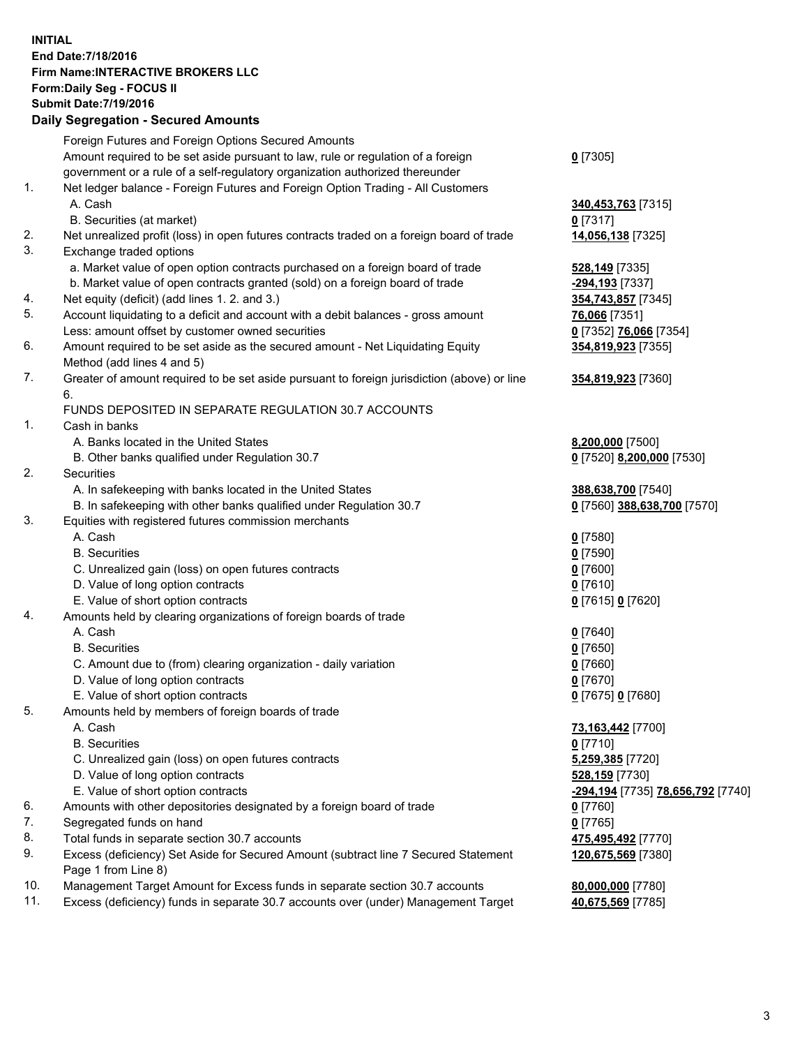## **INITIAL End Date:7/18/2016 Firm Name:INTERACTIVE BROKERS LLC Form:Daily Seg - FOCUS II Submit Date:7/19/2016 Daily Segregation - Secured Amounts**

| Daily Ocglegation - Occarea Anioants                                                        |                                                |
|---------------------------------------------------------------------------------------------|------------------------------------------------|
| Foreign Futures and Foreign Options Secured Amounts                                         |                                                |
| Amount required to be set aside pursuant to law, rule or regulation of a foreign            | $0$ [7305]                                     |
| government or a rule of a self-regulatory organization authorized thereunder                |                                                |
| Net ledger balance - Foreign Futures and Foreign Option Trading - All Customers             |                                                |
| A. Cash                                                                                     | 340,453,763 [7315]                             |
| B. Securities (at market)                                                                   | $0$ [7317]                                     |
| Net unrealized profit (loss) in open futures contracts traded on a foreign board of trade   | 14,056,138 [7325]                              |
| Exchange traded options                                                                     |                                                |
| a. Market value of open option contracts purchased on a foreign board of trade              | <b>528,149</b> [7335]                          |
| b. Market value of open contracts granted (sold) on a foreign board of trade                | -294,193 [7337]                                |
| Net equity (deficit) (add lines 1.2. and 3.)                                                | 354,743,857 [7345]                             |
| Account liquidating to a deficit and account with a debit balances - gross amount           | 76,066 [7351]                                  |
| Less: amount offset by customer owned securities                                            | 0 [7352] 76,066 [7354]                         |
| Amount required to be set aside as the secured amount - Net Liquidating Equity              | 354,819,923 [7355]                             |
| Method (add lines 4 and 5)                                                                  |                                                |
| Greater of amount required to be set aside pursuant to foreign jurisdiction (above) or line | 354,819,923 [7360]                             |
| 6.                                                                                          |                                                |
| FUNDS DEPOSITED IN SEPARATE REGULATION 30.7 ACCOUNTS                                        |                                                |
| Cash in banks                                                                               |                                                |
| A. Banks located in the United States                                                       | 8,200,000 [7500]                               |
| B. Other banks qualified under Regulation 30.7                                              | 0 [7520] 8,200,000 [7530]                      |
| Securities                                                                                  |                                                |
| A. In safekeeping with banks located in the United States                                   | 388,638,700 [7540]                             |
| B. In safekeeping with other banks qualified under Regulation 30.7                          | 0 [7560] 388,638,700 [7570]                    |
| Equities with registered futures commission merchants                                       |                                                |
| A. Cash                                                                                     | $0$ [7580]                                     |
| <b>B.</b> Securities                                                                        | $0$ [7590]                                     |
| C. Unrealized gain (loss) on open futures contracts                                         | $0$ [7600]                                     |
| D. Value of long option contracts                                                           | $0$ [7610]                                     |
| E. Value of short option contracts                                                          | 0 [7615] 0 [7620]                              |
| Amounts held by clearing organizations of foreign boards of trade                           |                                                |
| A. Cash                                                                                     | $0$ [7640]                                     |
| <b>B.</b> Securities                                                                        | $0$ [7650]                                     |
| C. Amount due to (from) clearing organization - daily variation                             | $0$ [7660]                                     |
| D. Value of long option contracts                                                           | $0$ [7670]                                     |
| E. Value of short option contracts                                                          | 0 [7675] 0 [7680]                              |
| Amounts held by members of foreign boards of trade                                          |                                                |
| A. Cash                                                                                     | 73,163,442 [7700]                              |
| <b>B.</b> Securities                                                                        | $0$ [7710]                                     |
| C. Unrealized gain (loss) on open futures contracts                                         | 5,259,385 [7720]                               |
| D. Value of long option contracts                                                           | 528,159 [7730]                                 |
| E. Value of short option contracts                                                          | <mark>-294,194</mark> [7735] 78,656,792 [7740] |
| Amounts with other depositories designated by a foreign board of trade                      | 0 [7760]                                       |
| Segregated funds on hand                                                                    | $0$ [7765]                                     |
| Total funds in separate section 30.7 accounts                                               | 475,495,492 [7770]                             |
| Excess (deficiency) Set Aside for Secured Amount (subtract line 7 Secured Statement         | 120,675,569 [7380]                             |
| Page 1 from Line 8)                                                                         |                                                |
| Management Target Amount for Excess funds in separate section 30.7 accounts                 | 80,000,000 [7780]                              |
| Excess (deficiency) funds in separate 30.7 accounts over (under) Management Target          | 40,675,569 [7785]                              |
|                                                                                             |                                                |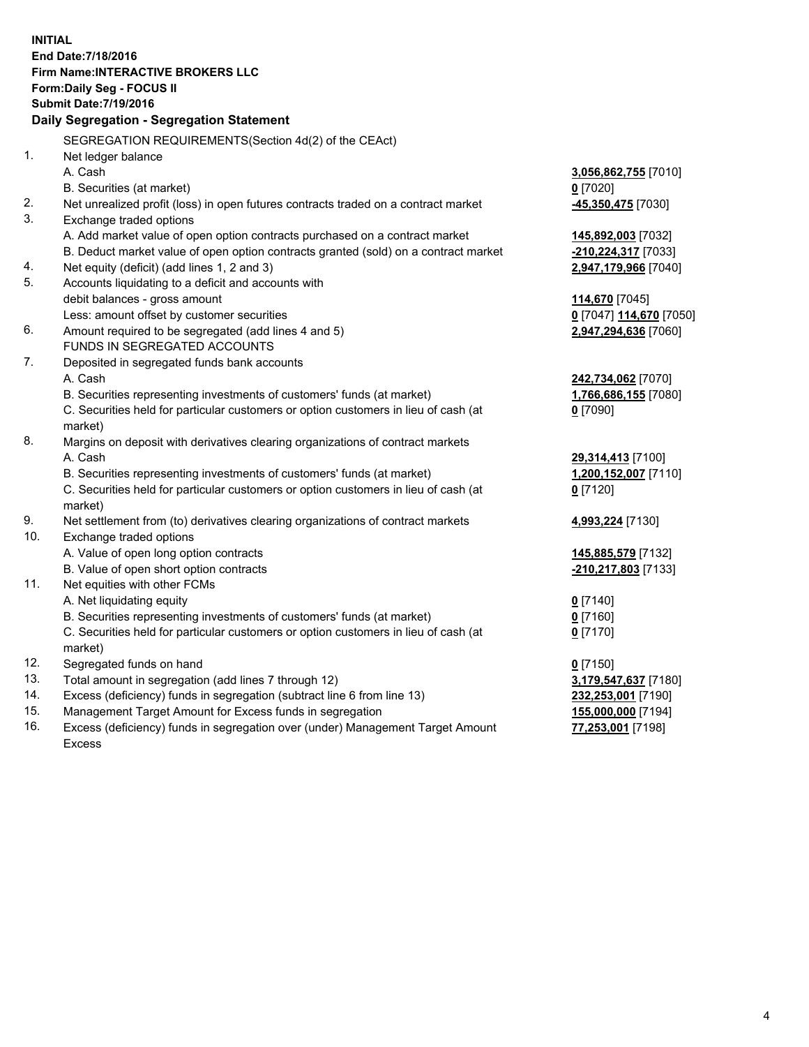**INITIAL End Date:7/18/2016 Firm Name:INTERACTIVE BROKERS LLC Form:Daily Seg - FOCUS II Submit Date:7/19/2016 Daily Segregation - Segregation Statement** SEGREGATION REQUIREMENTS(Section 4d(2) of the CEAct) 1. Net ledger balance A. Cash **3,056,862,755** [7010] B. Securities (at market) **0** [7020] 2. Net unrealized profit (loss) in open futures contracts traded on a contract market **-45,350,475** [7030] 3. Exchange traded options A. Add market value of open option contracts purchased on a contract market **145,892,003** [7032] B. Deduct market value of open option contracts granted (sold) on a contract market **-210,224,317** [7033] 4. Net equity (deficit) (add lines 1, 2 and 3) **2,947,179,966** [7040] 5. Accounts liquidating to a deficit and accounts with debit balances - gross amount **114,670** [7045] Less: amount offset by customer securities **0** [7047] **114,670** [7050] 6. Amount required to be segregated (add lines 4 and 5) **2,947,294,636** [7060] FUNDS IN SEGREGATED ACCOUNTS 7. Deposited in segregated funds bank accounts A. Cash **242,734,062** [7070] B. Securities representing investments of customers' funds (at market) **1,766,686,155** [7080] C. Securities held for particular customers or option customers in lieu of cash (at market) **0** [7090] 8. Margins on deposit with derivatives clearing organizations of contract markets A. Cash **29,314,413** [7100] B. Securities representing investments of customers' funds (at market) **1,200,152,007** [7110] C. Securities held for particular customers or option customers in lieu of cash (at market) **0** [7120] 9. Net settlement from (to) derivatives clearing organizations of contract markets **4,993,224** [7130] 10. Exchange traded options A. Value of open long option contracts **145,885,579** [7132] B. Value of open short option contracts **-210,217,803** [7133] 11. Net equities with other FCMs A. Net liquidating equity **0** [7140] B. Securities representing investments of customers' funds (at market) **0** [7160] C. Securities held for particular customers or option customers in lieu of cash (at market) **0** [7170] 12. Segregated funds on hand **0** [7150] 13. Total amount in segregation (add lines 7 through 12) **3,179,547,637** [7180] 14. Excess (deficiency) funds in segregation (subtract line 6 from line 13) **232,253,001** [7190] 15. Management Target Amount for Excess funds in segregation **155,000,000** [7194]

16. Excess (deficiency) funds in segregation over (under) Management Target Amount Excess

**77,253,001** [7198]